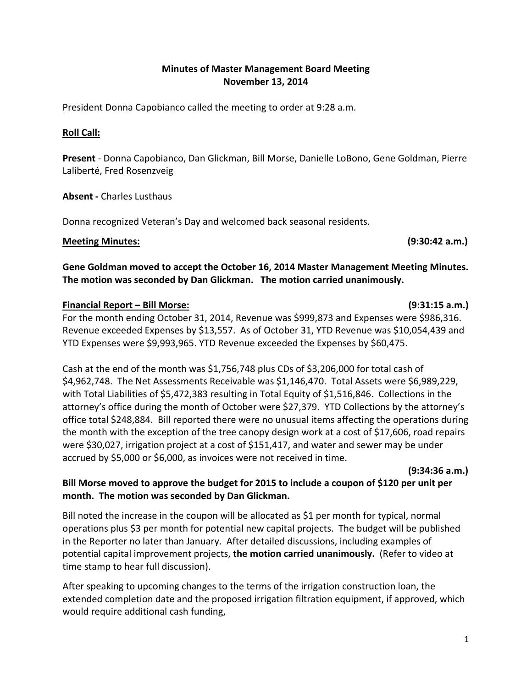### **Minutes of Master Management Board Meeting November 13, 2014**

President Donna Capobianco called the meeting to order at 9:28 a.m.

### **Roll Call:**

**Present** - Donna Capobianco, Dan Glickman, Bill Morse, Danielle LoBono, Gene Goldman, Pierre Laliberté, Fred Rosenzveig

**Absent -** Charles Lusthaus

Donna recognized Veteran's Day and welcomed back seasonal residents.

### **Meeting Minutes: (9:30:42 a.m.)**

### **Gene Goldman moved to accept the October 16, 2014 Master Management Meeting Minutes. The motion was seconded by Dan Glickman. The motion carried unanimously.**

### **Financial Report – Bill Morse: (9:31:15 a.m.)**

For the month ending October 31, 2014, Revenue was \$999,873 and Expenses were \$986,316. Revenue exceeded Expenses by \$13,557. As of October 31, YTD Revenue was \$10,054,439 and YTD Expenses were \$9,993,965. YTD Revenue exceeded the Expenses by \$60,475.

Cash at the end of the month was \$1,756,748 plus CDs of \$3,206,000 for total cash of \$4,962,748. The Net Assessments Receivable was \$1,146,470. Total Assets were \$6,989,229, with Total Liabilities of \$5,472,383 resulting in Total Equity of \$1,516,846. Collections in the attorney's office during the month of October were \$27,379. YTD Collections by the attorney's office total \$248,884. Bill reported there were no unusual items affecting the operations during the month with the exception of the tree canopy design work at a cost of \$17,606, road repairs were \$30,027, irrigation project at a cost of \$151,417, and water and sewer may be under accrued by \$5,000 or \$6,000, as invoices were not received in time.

**(9:34:36 a.m.)**

## **Bill Morse moved to approve the budget for 2015 to include a coupon of \$120 per unit per month. The motion was seconded by Dan Glickman.**

Bill noted the increase in the coupon will be allocated as \$1 per month for typical, normal operations plus \$3 per month for potential new capital projects. The budget will be published in the Reporter no later than January. After detailed discussions, including examples of potential capital improvement projects, **the motion carried unanimously.** (Refer to video at time stamp to hear full discussion).

After speaking to upcoming changes to the terms of the irrigation construction loan, the extended completion date and the proposed irrigation filtration equipment, if approved, which would require additional cash funding,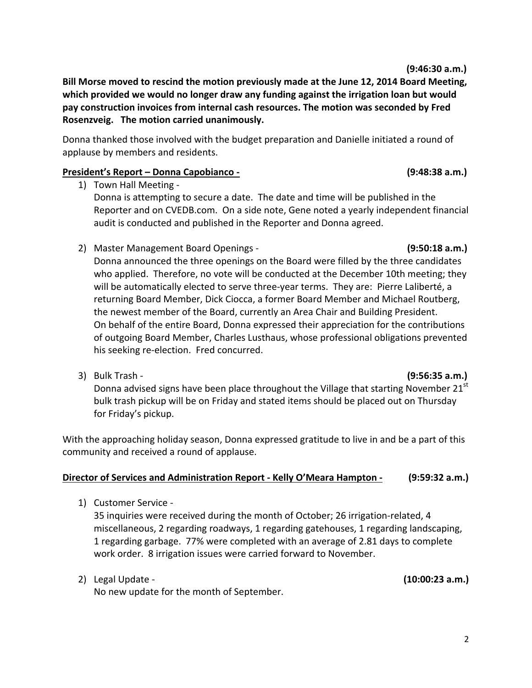**(9:46:30 a.m.)**

**Bill Morse moved to rescind the motion previously made at the June 12, 2014 Board Meeting, which provided we would no longer draw any funding against the irrigation loan but would pay construction invoices from internal cash resources. The motion was seconded by Fred Rosenzveig. The motion carried unanimously.**

Donna thanked those involved with the budget preparation and Danielle initiated a round of applause by members and residents.

## **President's Report – Donna Capobianco - (9:48:38 a.m.)**

- 1) Town Hall Meeting Donna is attempting to secure a date. The date and time will be published in the Reporter and on CVEDB.com. On a side note, Gene noted a yearly independent financial audit is conducted and published in the Reporter and Donna agreed.
- 2) Master Management Board Openings **(9:50:18 a.m.)**

Donna announced the three openings on the Board were filled by the three candidates who applied. Therefore, no vote will be conducted at the December 10th meeting; they will be automatically elected to serve three-year terms. They are: Pierre Laliberté, a returning Board Member, Dick Ciocca, a former Board Member and Michael Routberg, the newest member of the Board, currently an Area Chair and Building President. On behalf of the entire Board, Donna expressed their appreciation for the contributions of outgoing Board Member, Charles Lusthaus, whose professional obligations prevented his seeking re-election. Fred concurred.

3) Bulk Trash - **(9:56:35 a.m.)**

Donna advised signs have been place throughout the Village that starting November  $21^{st}$ bulk trash pickup will be on Friday and stated items should be placed out on Thursday for Friday's pickup.

With the approaching holiday season, Donna expressed gratitude to live in and be a part of this community and received a round of applause.

## **Director of Services and Administration Report - Kelly O'Meara Hampton - (9:59:32 a.m.)**

1) Customer Service -

35 inquiries were received during the month of October; 26 irrigation-related, 4 miscellaneous, 2 regarding roadways, 1 regarding gatehouses, 1 regarding landscaping, 1 regarding garbage. 77% were completed with an average of 2.81 days to complete work order. 8 irrigation issues were carried forward to November.

2) Legal Update - **(10:00:23 a.m.)** No new update for the month of September.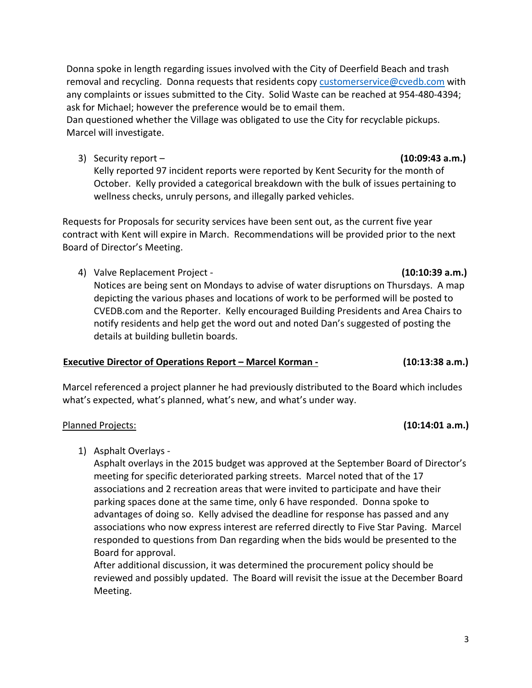Donna spoke in length regarding issues involved with the City of Deerfield Beach and trash removal and recycling. Donna requests that residents copy [customerservice@cvedb.com](mailto:customerservice@cvedb.com) with any complaints or issues submitted to the City. Solid Waste can be reached at 954-480-4394; ask for Michael; however the preference would be to email them.

Dan questioned whether the Village was obligated to use the City for recyclable pickups. Marcel will investigate.

3) Security report – **(10:09:43 a.m.)**

Kelly reported 97 incident reports were reported by Kent Security for the month of October. Kelly provided a categorical breakdown with the bulk of issues pertaining to wellness checks, unruly persons, and illegally parked vehicles.

Requests for Proposals for security services have been sent out, as the current five year contract with Kent will expire in March. Recommendations will be provided prior to the next Board of Director's Meeting.

4) Valve Replacement Project - **(10:10:39 a.m.)**

Notices are being sent on Mondays to advise of water disruptions on Thursdays. A map depicting the various phases and locations of work to be performed will be posted to CVEDB.com and the Reporter. Kelly encouraged Building Presidents and Area Chairs to notify residents and help get the word out and noted Dan's suggested of posting the details at building bulletin boards.

### **Executive Director of Operations Report – Marcel Korman - (10:13:38 a.m.)**

Marcel referenced a project planner he had previously distributed to the Board which includes what's expected, what's planned, what's new, and what's under way.

### Planned Projects: **(10:14:01 a.m.)**

1) Asphalt Overlays -

Asphalt overlays in the 2015 budget was approved at the September Board of Director's meeting for specific deteriorated parking streets. Marcel noted that of the 17 associations and 2 recreation areas that were invited to participate and have their parking spaces done at the same time, only 6 have responded. Donna spoke to advantages of doing so. Kelly advised the deadline for response has passed and any associations who now express interest are referred directly to Five Star Paving. Marcel responded to questions from Dan regarding when the bids would be presented to the Board for approval.

After additional discussion, it was determined the procurement policy should be reviewed and possibly updated. The Board will revisit the issue at the December Board Meeting.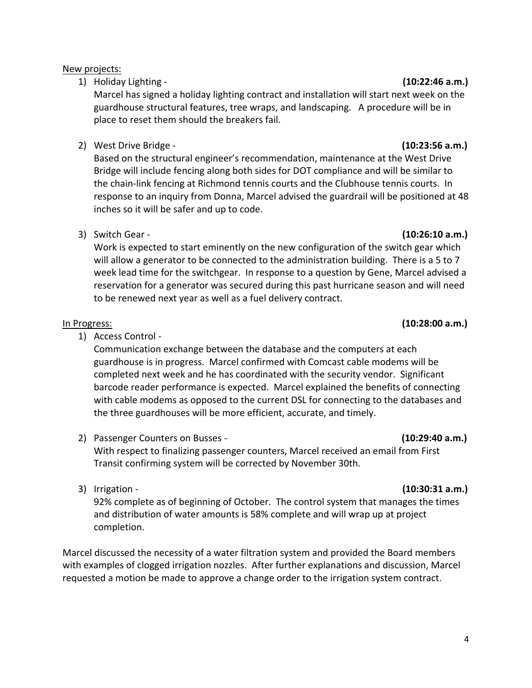4

### New projects:

1) Holiday Lighting - **(10:22:46 a.m.)** 

Marcel has signed a holiday lighting contract and installation will start next week on the guardhouse structural features, tree wraps, and landscaping. A procedure will be in place to reset them should the breakers fail.

2) West Drive Bridge - **(10:23:56 a.m.)**

Based on the structural engineer's recommendation, maintenance at the West Drive Bridge will include fencing along both sides for DOT compliance and will be similar to the chain-link fencing at Richmond tennis courts and the Clubhouse tennis courts. In response to an inquiry from Donna, Marcel advised the guardrail will be positioned at 48 inches so it will be safer and up to code.

3) Switch Gear - **(10:26:10 a.m.)**

Work is expected to start eminently on the new configuration of the switch gear which will allow a generator to be connected to the administration building. There is a 5 to 7 week lead time for the switchgear. In response to a question by Gene, Marcel advised a reservation for a generator was secured during this past hurricane season and will need to be renewed next year as well as a fuel delivery contract.

1) Access Control -

Communication exchange between the database and the computers at each guardhouse is in progress. Marcel confirmed with Comcast cable modems will be completed next week and he has coordinated with the security vendor. Significant barcode reader performance is expected. Marcel explained the benefits of connecting with cable modems as opposed to the current DSL for connecting to the databases and the three guardhouses will be more efficient, accurate, and timely.

2) Passenger Counters on Busses - **(10:29:40 a.m.)**

With respect to finalizing passenger counters, Marcel received an email from First Transit confirming system will be corrected by November 30th.

92% complete as of beginning of October. The control system that manages the times and distribution of water amounts is 58% complete and will wrap up at project completion.

Marcel discussed the necessity of a water filtration system and provided the Board members with examples of clogged irrigation nozzles. After further explanations and discussion, Marcel requested a motion be made to approve a change order to the irrigation system contract.

## In Progress: **(10:28:00 a.m.)**

### 3) Irrigation - **(10:30:31 a.m.)**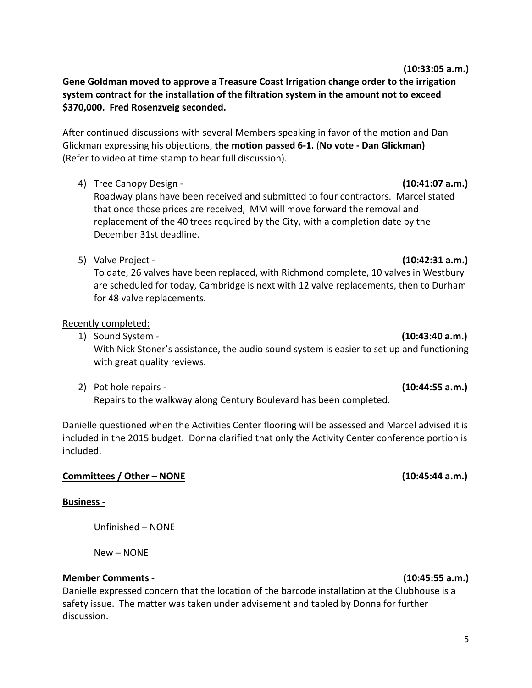**Gene Goldman moved to approve a Treasure Coast Irrigation change order to the irrigation system contract for the installation of the filtration system in the amount not to exceed \$370,000. Fred Rosenzveig seconded.** 

After continued discussions with several Members speaking in favor of the motion and Dan Glickman expressing his objections, **the motion passed 6-1.** (**No vote - Dan Glickman)** (Refer to video at time stamp to hear full discussion).

4) Tree Canopy Design - **(10:41:07 a.m.)**

Roadway plans have been received and submitted to four contractors. Marcel stated that once those prices are received, MM will move forward the removal and replacement of the 40 trees required by the City, with a completion date by the December 31st deadline.

5) Valve Project - **(10:42:31 a.m.)**

To date, 26 valves have been replaced, with Richmond complete, 10 valves in Westbury are scheduled for today, Cambridge is next with 12 valve replacements, then to Durham for 48 valve replacements.

# Recently completed:

1) Sound System - **(10:43:40 a.m.)**

With Nick Stoner's assistance, the audio sound system is easier to set up and functioning with great quality reviews.

2) Pot hole repairs - **(10:44:55 a.m.)** Repairs to the walkway along Century Boulevard has been completed.

Danielle questioned when the Activities Center flooring will be assessed and Marcel advised it is included in the 2015 budget. Donna clarified that only the Activity Center conference portion is included.

# **Committees / Other – NONE (10:45:44 a.m.)**

# **Business -**

Unfinished – NONE

New – NONE

# **Member Comments - (10:45:55 a.m.)**

Danielle expressed concern that the location of the barcode installation at the Clubhouse is a safety issue. The matter was taken under advisement and tabled by Donna for further discussion.

 **(10:33:05 a.m.)**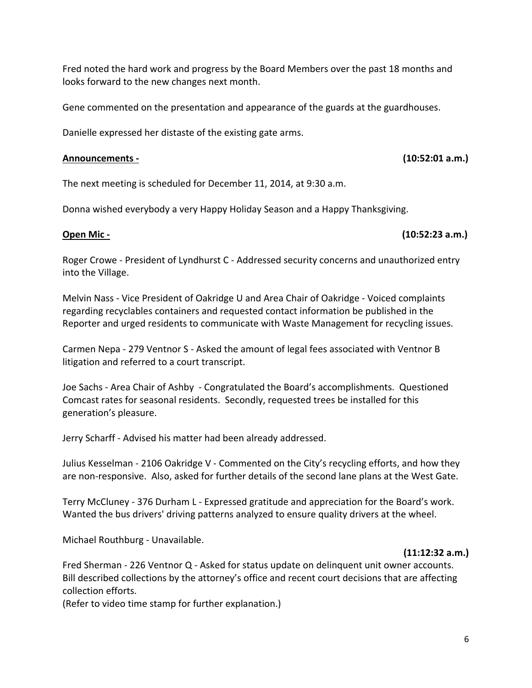Fred noted the hard work and progress by the Board Members over the past 18 months and looks forward to the new changes next month.

Gene commented on the presentation and appearance of the guards at the guardhouses.

Danielle expressed her distaste of the existing gate arms.

### **Announcements - (10:52:01 a.m.)**

The next meeting is scheduled for December 11, 2014, at 9:30 a.m.

Donna wished everybody a very Happy Holiday Season and a Happy Thanksgiving.

### **Open Mic - (10:52:23 a.m.)**

Roger Crowe - President of Lyndhurst C - Addressed security concerns and unauthorized entry into the Village.

Melvin Nass - Vice President of Oakridge U and Area Chair of Oakridge - Voiced complaints regarding recyclables containers and requested contact information be published in the Reporter and urged residents to communicate with Waste Management for recycling issues.

Carmen Nepa - 279 Ventnor S - Asked the amount of legal fees associated with Ventnor B litigation and referred to a court transcript.

Joe Sachs - Area Chair of Ashby - Congratulated the Board's accomplishments. Questioned Comcast rates for seasonal residents. Secondly, requested trees be installed for this generation's pleasure.

Jerry Scharff - Advised his matter had been already addressed.

Julius Kesselman - 2106 Oakridge V - Commented on the City's recycling efforts, and how they are non-responsive. Also, asked for further details of the second lane plans at the West Gate.

Terry McCluney - 376 Durham L - Expressed gratitude and appreciation for the Board's work. Wanted the bus drivers' driving patterns analyzed to ensure quality drivers at the wheel.

Michael Routhburg - Unavailable.

### **(11:12:32 a.m.)**

Fred Sherman - 226 Ventnor Q - Asked for status update on delinquent unit owner accounts. Bill described collections by the attorney's office and recent court decisions that are affecting collection efforts.

(Refer to video time stamp for further explanation.)